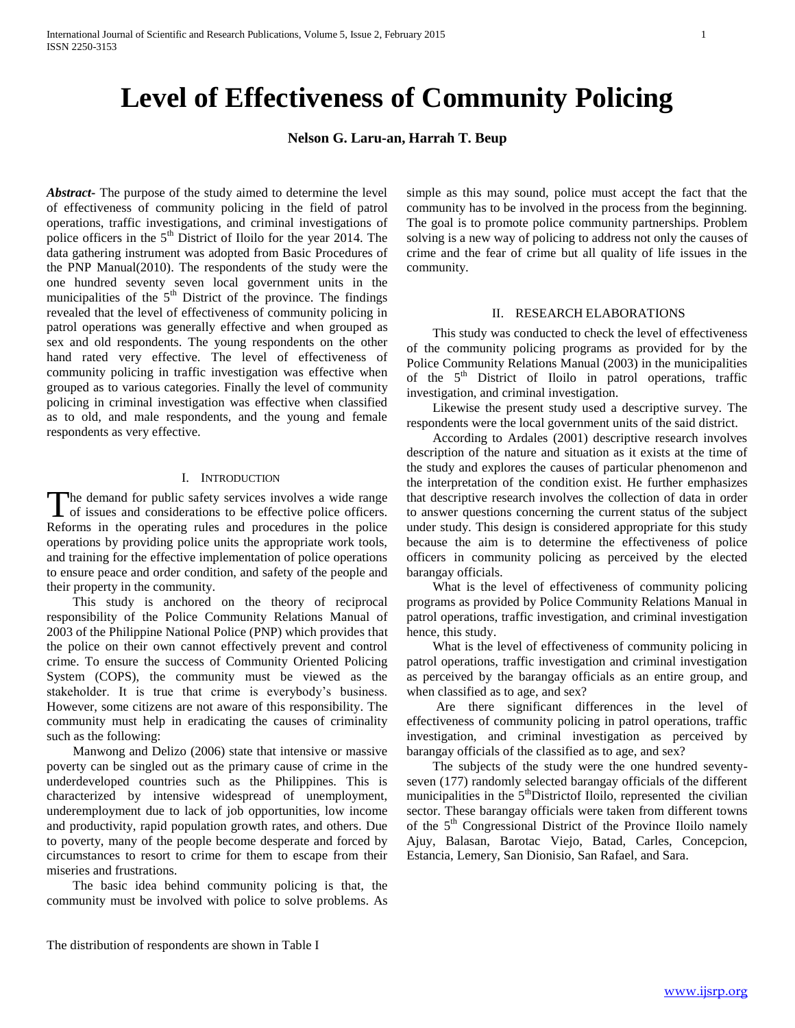# **Level of Effectiveness of Community Policing**

**Nelson G. Laru-an, Harrah T. Beup**

*Abstract***-** The purpose of the study aimed to determine the level of effectiveness of community policing in the field of patrol operations, traffic investigations, and criminal investigations of police officers in the 5<sup>th</sup> District of Iloilo for the year 2014. The data gathering instrument was adopted from Basic Procedures of the PNP Manual(2010). The respondents of the study were the one hundred seventy seven local government units in the municipalities of the  $5<sup>th</sup>$  District of the province. The findings revealed that the level of effectiveness of community policing in patrol operations was generally effective and when grouped as sex and old respondents. The young respondents on the other hand rated very effective. The level of effectiveness of community policing in traffic investigation was effective when grouped as to various categories. Finally the level of community policing in criminal investigation was effective when classified as to old, and male respondents, and the young and female respondents as very effective.

# I. INTRODUCTION

he demand for public safety services involves a wide range The demand for public safety services involves a wide range of issues and considerations to be effective police officers. Reforms in the operating rules and procedures in the police operations by providing police units the appropriate work tools, and training for the effective implementation of police operations to ensure peace and order condition, and safety of the people and their property in the community.

 This study is anchored on the theory of reciprocal responsibility of the Police Community Relations Manual of 2003 of the Philippine National Police (PNP) which provides that the police on their own cannot effectively prevent and control crime. To ensure the success of Community Oriented Policing System (COPS), the community must be viewed as the stakeholder. It is true that crime is everybody's business. However, some citizens are not aware of this responsibility. The community must help in eradicating the causes of criminality such as the following:

 Manwong and Delizo (2006) state that intensive or massive poverty can be singled out as the primary cause of crime in the underdeveloped countries such as the Philippines. This is characterized by intensive widespread of unemployment, underemployment due to lack of job opportunities, low income and productivity, rapid population growth rates, and others. Due to poverty, many of the people become desperate and forced by circumstances to resort to crime for them to escape from their miseries and frustrations.

 The basic idea behind community policing is that, the community must be involved with police to solve problems. As

### II. RESEARCH ELABORATIONS

 This study was conducted to check the level of effectiveness of the community policing programs as provided for by the Police Community Relations Manual (2003) in the municipalities of the 5<sup>th</sup> District of Iloilo in patrol operations, traffic investigation, and criminal investigation.

 Likewise the present study used a descriptive survey. The respondents were the local government units of the said district.

 According to Ardales (2001) descriptive research involves description of the nature and situation as it exists at the time of the study and explores the causes of particular phenomenon and the interpretation of the condition exist. He further emphasizes that descriptive research involves the collection of data in order to answer questions concerning the current status of the subject under study. This design is considered appropriate for this study because the aim is to determine the effectiveness of police officers in community policing as perceived by the elected barangay officials.

 What is the level of effectiveness of community policing programs as provided by Police Community Relations Manual in patrol operations, traffic investigation, and criminal investigation hence, this study.

 What is the level of effectiveness of community policing in patrol operations, traffic investigation and criminal investigation as perceived by the barangay officials as an entire group, and when classified as to age, and sex?

 Are there significant differences in the level of effectiveness of community policing in patrol operations, traffic investigation, and criminal investigation as perceived by barangay officials of the classified as to age, and sex?

 The subjects of the study were the one hundred seventyseven (177) randomly selected barangay officials of the different municipalities in the  $5<sup>th</sup>$ Districtof Iloilo, represented the civilian sector. These barangay officials were taken from different towns of the 5<sup>th</sup> Congressional District of the Province Iloilo namely Ajuy, Balasan, Barotac Viejo, Batad, Carles, Concepcion, Estancia, Lemery, San Dionisio, San Rafael, and Sara.

simple as this may sound, police must accept the fact that the community has to be involved in the process from the beginning. The goal is to promote police community partnerships. Problem solving is a new way of policing to address not only the causes of crime and the fear of crime but all quality of life issues in the community.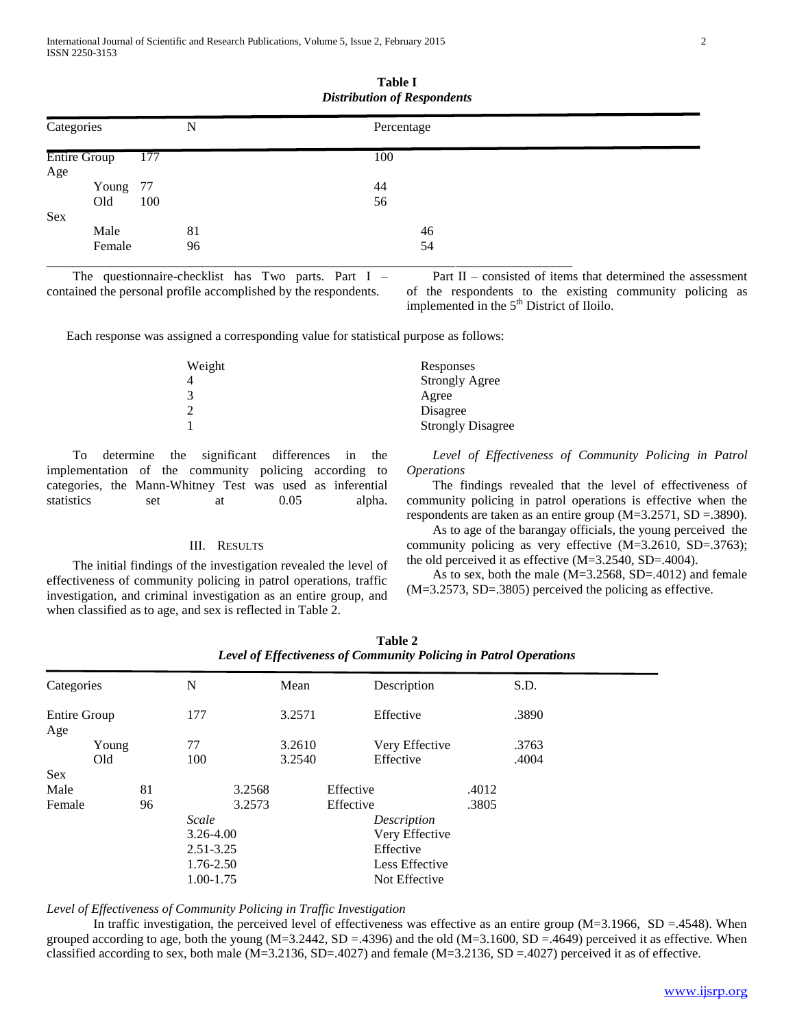| Categories<br><b>Entire Group</b> |        | N<br>177 |  | Percentage |  |
|-----------------------------------|--------|----------|--|------------|--|
|                                   |        |          |  | 100        |  |
| Age                               |        |          |  |            |  |
|                                   | Young  | 77       |  | 44         |  |
|                                   | Old    | 100      |  | 56         |  |
| Sex                               |        |          |  |            |  |
|                                   | Male   | 81       |  | 46         |  |
|                                   | Female | 96       |  | 54         |  |

| Table I                            |  |  |  |  |  |  |
|------------------------------------|--|--|--|--|--|--|
| <b>Distribution of Respondents</b> |  |  |  |  |  |  |

 The questionnaire-checklist has Two parts. Part I – contained the personal profile accomplished by the respondents.

 Part II – consisted of items that determined the assessment of the respondents to the existing community policing as implemented in the  $5<sup>th</sup>$  District of Iloilo.

Each response was assigned a corresponding value for statistical purpose as follows:

| Weight | Responses                |
|--------|--------------------------|
|        | <b>Strongly Agree</b>    |
|        | Agree                    |
|        | Disagree                 |
|        | <b>Strongly Disagree</b> |
|        |                          |

 To determine the significant differences in the implementation of the community policing according to categories, the Mann-Whitney Test was used as inferential statistics set at 0.05 alpha.

## III. RESULTS

 The initial findings of the investigation revealed the level of effectiveness of community policing in patrol operations, traffic investigation, and criminal investigation as an entire group, and when classified as to age, and sex is reflected in Table 2.

 *Level of Effectiveness of Community Policing in Patrol Operations*

 The findings revealed that the level of effectiveness of community policing in patrol operations is effective when the respondents are taken as an entire group (M=3.2571, SD =.3890).

 As to age of the barangay officials, the young perceived the community policing as very effective (M=3.2610, SD=.3763); the old perceived it as effective (M=3.2540, SD=.4004).

 As to sex, both the male (M=3.2568, SD=.4012) and female (M=3.2573, SD=.3805) perceived the policing as effective.

|                            |       |    |               | . J    |        |           |                | ້     |       |  |
|----------------------------|-------|----|---------------|--------|--------|-----------|----------------|-------|-------|--|
| Categories                 |       |    | N             |        | Mean   |           | Description    |       | S.D.  |  |
| <b>Entire Group</b><br>Age |       |    | 177           |        | 3.2571 |           | Effective      |       | .3890 |  |
|                            | Young |    | 77            |        | 3.2610 |           | Very Effective |       | .3763 |  |
|                            | Old   |    | 100           |        | 3.2540 |           | Effective      |       | .4004 |  |
| <b>Sex</b>                 |       |    |               |        |        |           |                |       |       |  |
| Male                       |       | 81 |               | 3.2568 |        | Effective |                | .4012 |       |  |
| Female                     |       | 96 |               | 3.2573 |        | Effective |                | .3805 |       |  |
|                            |       |    | Scale         |        |        |           | Description    |       |       |  |
|                            |       |    | 3.26-4.00     |        |        |           | Very Effective |       |       |  |
|                            |       |    | $2.51 - 3.25$ |        |        |           | Effective      |       |       |  |
|                            |       |    | 1.76-2.50     |        |        |           | Less Effective |       |       |  |
|                            |       |    | 1.00-1.75     |        |        |           | Not Effective  |       |       |  |

**Table 2** *Level of Effectiveness of Community Policing in Patrol Operations*

# *Level of Effectiveness of Community Policing in Traffic Investigation*

In traffic investigation, the perceived level of effectiveness was effective as an entire group  $(M=3.1966, SD = .4548)$ . When grouped according to age, both the young  $(M=3.2442, SD = .4396)$  and the old  $(M=3.1600, SD = .4649)$  perceived it as effective. When classified according to sex, both male  $(M=3.2136, SD=.4027)$  and female  $(M=3.2136, SD=.4027)$  perceived it as of effective.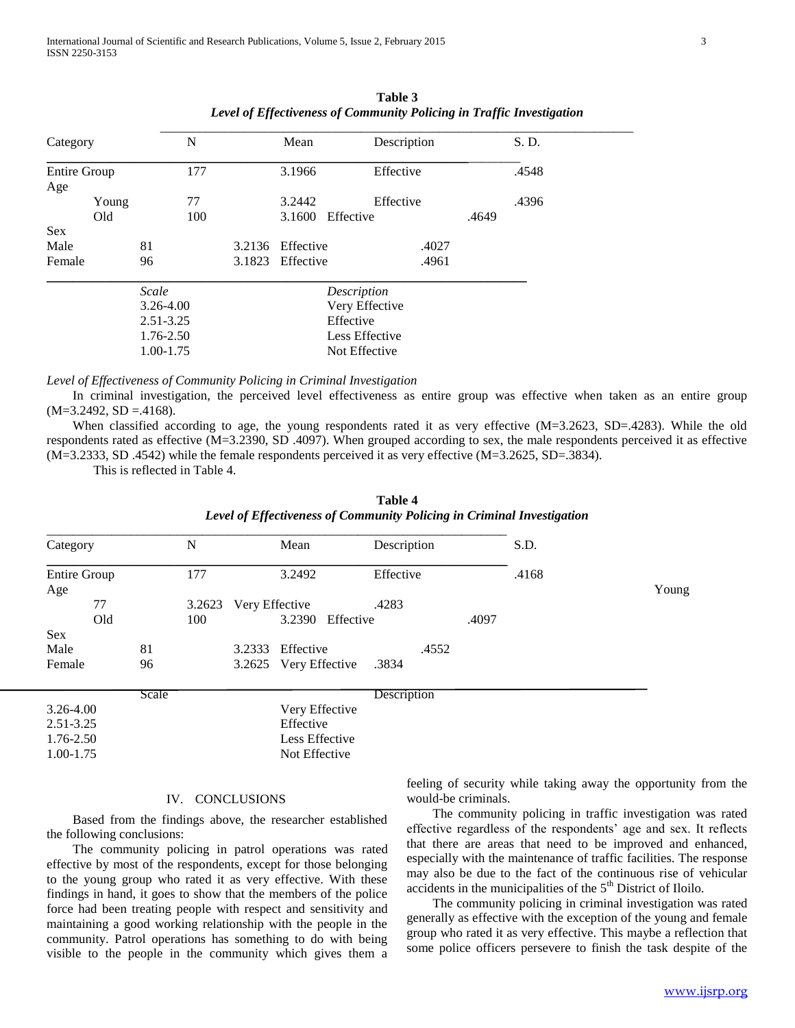| Category                   |       |                            | N   |        | Mean             |                | et al. 1990 and 1990 and 1990 and 1990 and 1990 and 1990 and 1990 and 1990 and 1990 and 1990 and 1990 and 1990<br>Description |       | S. D. |  |
|----------------------------|-------|----------------------------|-----|--------|------------------|----------------|-------------------------------------------------------------------------------------------------------------------------------|-------|-------|--|
| <b>Entire Group</b><br>Age |       | 177                        |     |        | 3.1966           |                | Effective                                                                                                                     |       | .4548 |  |
|                            | Young |                            | 77  |        | 3.2442           |                | Effective                                                                                                                     |       | .4396 |  |
|                            | Old   |                            | 100 |        | 3.1600           | Effective      |                                                                                                                               | .4649 |       |  |
| <b>Sex</b>                 |       |                            |     |        |                  |                |                                                                                                                               |       |       |  |
| Male                       |       | 81                         |     | 3.2136 | Effective        |                | .4027                                                                                                                         |       |       |  |
| Female                     |       | 96                         |     |        | 3.1823 Effective |                | .4961                                                                                                                         |       |       |  |
|                            |       | Scale                      |     |        | Description      |                |                                                                                                                               |       |       |  |
|                            |       | $3.26 - 4.00$              |     |        |                  | Very Effective |                                                                                                                               |       |       |  |
|                            |       | $2.51 - 3.25$<br>1.76-2.50 |     |        |                  | Effective      |                                                                                                                               |       |       |  |
|                            |       |                            |     |        | Less Effective   |                |                                                                                                                               |       |       |  |
|                            |       | 1.00-1.75                  |     |        |                  | Not Effective  |                                                                                                                               |       |       |  |

**Table 3** *Level of Effectiveness of Community Policing in Traffic Investigation* 

#### *Level of Effectiveness of Community Policing in Criminal Investigation*

 In criminal investigation, the perceived level effectiveness as entire group was effective when taken as an entire group  $(M=3.2492, SD = .4168).$ 

When classified according to age, the young respondents rated it as very effective (M=3.2623, SD=.4283). While the old respondents rated as effective (M=3.2390, SD .4097). When grouped according to sex, the male respondents perceived it as effective (M=3.2333, SD .4542) while the female respondents perceived it as very effective (M=3.2625, SD=.3834).

This is reflected in Table 4.

| Table 4                                                                |  |  |  |  |  |  |
|------------------------------------------------------------------------|--|--|--|--|--|--|
| Level of Effectiveness of Community Policing in Criminal Investigation |  |  |  |  |  |  |

| Category                   |               | N   |                                       | Mean           | Description    |  | S.D.  |       |
|----------------------------|---------------|-----|---------------------------------------|----------------|----------------|--|-------|-------|
| <b>Entire Group</b><br>Age |               | 177 |                                       | 3.2492         | Effective      |  | .4168 | Young |
| 77                         | 3.2623<br>100 |     | Very Effective<br>3.2390<br>Effective |                | .4283<br>.4097 |  |       |       |
| Old                        |               |     |                                       |                |                |  |       |       |
| <b>Sex</b>                 |               |     |                                       |                |                |  |       |       |
| Male                       | 81            |     | 3.2333                                | Effective      | .4552          |  |       |       |
| Female                     | 96            |     | 3.2625                                | Very Effective | .3834          |  |       |       |
|                            | Scale         |     |                                       |                | Description    |  |       |       |
| $3.26 - 4.00$              |               |     |                                       | Very Effective |                |  |       |       |
| $2.51 - 3.25$              |               |     |                                       | Effective      |                |  |       |       |
| 1.76-2.50                  |               |     |                                       | Less Effective |                |  |       |       |
| 1.00-1.75                  |               |     |                                       | Not Effective  |                |  |       |       |

## IV. CONCLUSIONS

 Based from the findings above, the researcher established the following conclusions:

 The community policing in patrol operations was rated effective by most of the respondents, except for those belonging to the young group who rated it as very effective. With these findings in hand, it goes to show that the members of the police force had been treating people with respect and sensitivity and maintaining a good working relationship with the people in the community. Patrol operations has something to do with being visible to the people in the community which gives them a feeling of security while taking away the opportunity from the would-be criminals.

 The community policing in traffic investigation was rated effective regardless of the respondents' age and sex. It reflects that there are areas that need to be improved and enhanced, especially with the maintenance of traffic facilities. The response may also be due to the fact of the continuous rise of vehicular accidents in the municipalities of the  $5<sup>th</sup>$  District of Iloilo.

 The community policing in criminal investigation was rated generally as effective with the exception of the young and female group who rated it as very effective. This maybe a reflection that some police officers persevere to finish the task despite of the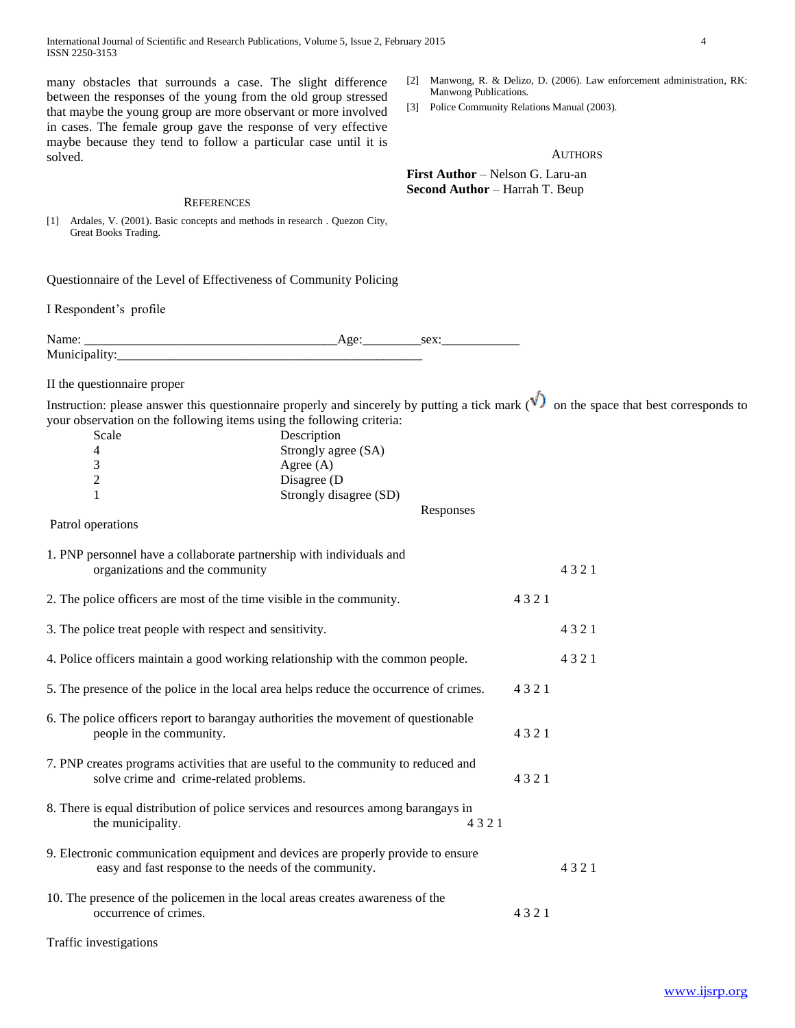International Journal of Scientific and Research Publications, Volume 5, Issue 2, February 2015 4 ISSN 2250-3153

many obstacles that surrounds a case. The slight difference between the responses of the young from the old group stressed that maybe the young group are more observant or more involved in cases. The female group gave the response of very effective maybe because they tend to follow a particular case until it is solved.

#### **REFERENCES**

[1] Ardales, V. (2001). Basic concepts and methods in research . Quezon City, Great Books Trading.

Questionnaire of the Level of Effectiveness of Community Policing

Municipality:\_\_\_\_\_\_\_\_\_\_\_\_\_\_\_\_\_\_\_\_\_\_\_\_\_\_\_\_\_\_\_\_\_\_\_\_\_\_\_\_\_\_\_\_\_\_\_

I Respondent's profile

Name: \_\_\_\_\_\_\_\_\_\_\_\_\_\_\_\_\_\_\_\_\_\_\_\_\_\_\_\_\_\_\_\_\_\_\_\_\_\_\_Age:\_\_\_\_\_\_\_\_\_sex:\_\_\_\_\_\_\_\_\_\_\_\_

II the questionnaire proper

Instruction: please answer this questionnaire properly and sincerely by putting a tick mark  $(\sqrt{\phantom{a}})$  on the space that best corresponds to your observation on the following items using the following criteria:

| Scale | Description            |           |
|-------|------------------------|-----------|
|       | Strongly agree (SA)    |           |
|       | Agree $(A)$            |           |
|       | Disagree (D)           |           |
|       | Strongly disagree (SD) |           |
|       |                        | Responses |

Patrol operations

| 1. PNP personnel have a collaborate partnership with individuals and<br>organizations and the community                                   |      | 4321 |
|-------------------------------------------------------------------------------------------------------------------------------------------|------|------|
| 2. The police officers are most of the time visible in the community.                                                                     | 4321 |      |
| 3. The police treat people with respect and sensitivity.                                                                                  |      | 4321 |
| 4. Police officers maintain a good working relationship with the common people.                                                           |      | 4321 |
| 5. The presence of the police in the local area helps reduce the occurrence of crimes.                                                    | 4321 |      |
| 6. The police officers report to barangay authorities the movement of questionable<br>people in the community.                            | 4321 |      |
| 7. PNP creates programs activities that are useful to the community to reduced and<br>solve crime and crime-related problems.             | 4321 |      |
| 8. There is equal distribution of police services and resources among barangays in<br>the municipality.<br>4321                           |      |      |
| 9. Electronic communication equipment and devices are properly provide to ensure<br>easy and fast response to the needs of the community. |      | 4321 |
| 10. The presence of the policemen in the local areas creates awareness of the<br>occurrence of crimes.                                    | 4321 |      |
|                                                                                                                                           |      |      |

Traffic investigations

[2] Manwong, R. & Delizo, D. (2006). Law enforcement administration, RK: Manwong Publications.

[3] Police Community Relations Manual (2003).

**AUTHORS** 

**First Author** – Nelson G. Laru-an **Second Author** – Harrah T. Beup